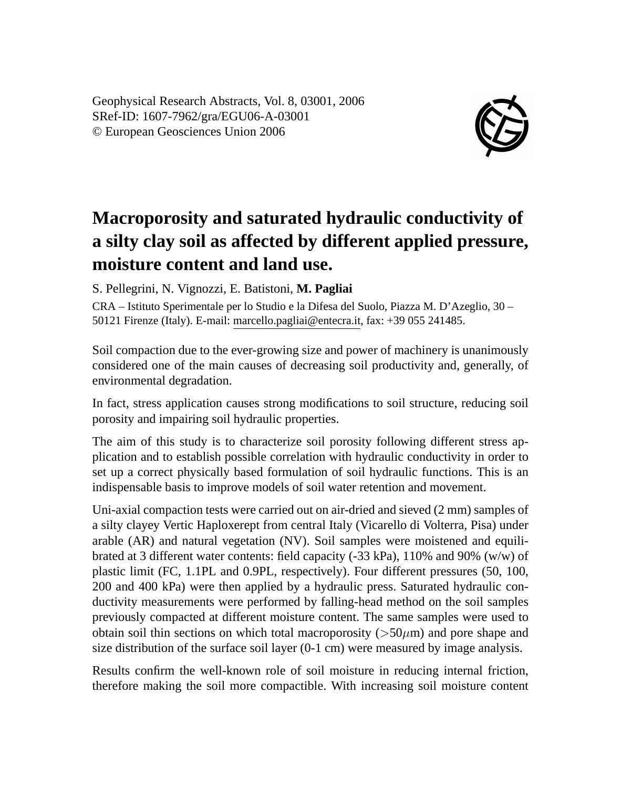Geophysical Research Abstracts, Vol. 8, 03001, 2006 SRef-ID: 1607-7962/gra/EGU06-A-03001 © European Geosciences Union 2006



## **Macroporosity and saturated hydraulic conductivity of a silty clay soil as affected by different applied pressure, moisture content and land use.**

S. Pellegrini, N. Vignozzi, E. Batistoni, **M. Pagliai**

CRA – Istituto Sperimentale per lo Studio e la Difesa del Suolo, Piazza M. D'Azeglio, 30 – 50121 Firenze (Italy). E-mail: marcello.pagliai@entecra.it, fax: +39 055 241485.

Soil compaction due to the ever-growing size and power of machinery is unanimously considered one of the main causes of decreasing soil productivity and, generally, of environmental degradation.

In fact, stress application causes strong modifications to soil structure, reducing soil porosity and impairing soil hydraulic properties.

The aim of this study is to characterize soil porosity following different stress application and to establish possible correlation with hydraulic conductivity in order to set up a correct physically based formulation of soil hydraulic functions. This is an indispensable basis to improve models of soil water retention and movement.

Uni-axial compaction tests were carried out on air-dried and sieved (2 mm) samples of a silty clayey Vertic Haploxerept from central Italy (Vicarello di Volterra, Pisa) under arable (AR) and natural vegetation (NV). Soil samples were moistened and equilibrated at 3 different water contents: field capacity (-33 kPa), 110% and 90% (w/w) of plastic limit (FC, 1.1PL and 0.9PL, respectively). Four different pressures (50, 100, 200 and 400 kPa) were then applied by a hydraulic press. Saturated hydraulic conductivity measurements were performed by falling-head method on the soil samples previously compacted at different moisture content. The same samples were used to obtain soil thin sections on which total macroporosity ( $>50\mu$ m) and pore shape and size distribution of the surface soil layer (0-1 cm) were measured by image analysis.

Results confirm the well-known role of soil moisture in reducing internal friction, therefore making the soil more compactible. With increasing soil moisture content